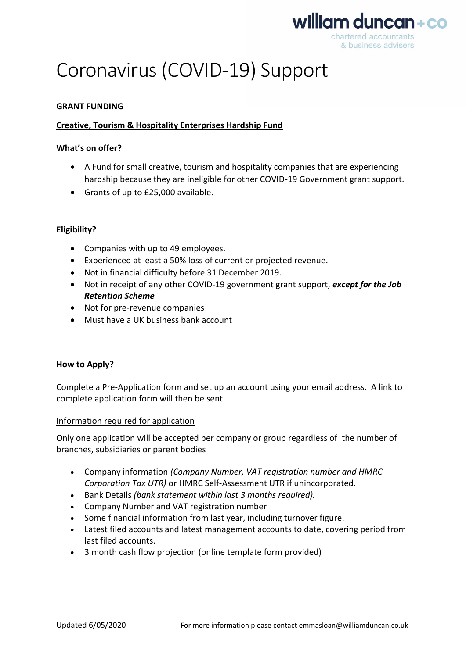

# Coronavirus (COVID-19) Support

# **GRANT FUNDING**

## **Creative, Tourism & Hospitality Enterprises Hardship Fund**

#### **What's on offer?**

- A Fund for small creative, tourism and hospitality companies that are experiencing hardship because they are ineligible for other COVID-19 Government grant support.
- Grants of up to £25,000 available.

## **Eligibility?**

- Companies with up to 49 employees.
- Experienced at least a 50% loss of current or projected revenue.
- Not in financial difficulty before 31 December 2019.
- Not in receipt of any other COVID-19 government grant support, *except for the Job Retention Scheme*
- Not for pre-revenue companies
- Must have a UK business bank account

## **How to Apply?**

Complete a Pre-Application form and set up an account using your email address. A link to complete application form will then be sent.

## Information required for application

Only one application will be accepted per company or group regardless of the number of branches, subsidiaries or parent bodies

- Company information *(Company Number, VAT registration number and HMRC Corporation Tax UTR)* or HMRC Self-Assessment UTR if unincorporated.
- Bank Details *(bank statement within last 3 months required).*
- Company Number and VAT registration number
- Some financial information from last year, including turnover figure.
- Latest filed accounts and latest management accounts to date, covering period from last filed accounts.
- 3 month cash flow projection (online template form provided)